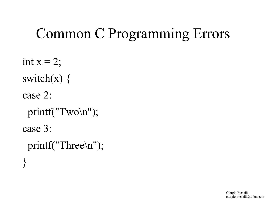```
Common C Programming Errors
```

```
int x = 2;
switch(x) \{case 2:
 printf("Two\n");
case 3:
  printf("Three\n");
}
```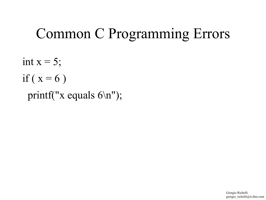int  $x = 5$ ; if ( $x = 6$ ) printf("x equals 6\n");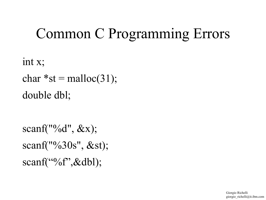```
int x;
char *st = \text{malloc}(31);double dbl;
```

```
scanf(^{10}\%d", \&x);scanf("%30s", &st);
scanf(^{60}/^{\circ}\!\!6^{\circ}\!\!3^{\circ}\!\!8^{\circ}\!\!dbl);
```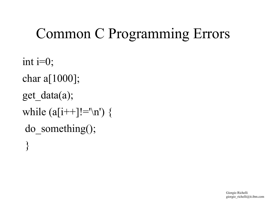int  $i=0$ ; char a[1000]; get\_data(a); while  $(a[i++]!=\n'n')$  { do\_something();  $\left\{ \right\}$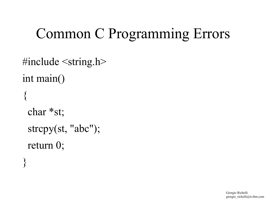```
\#include \leqstring.h>int main()
{<br>}
  char *st; 
  strcpy(st, "abc"); 
  return 0;
}
```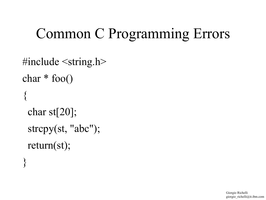```
\#include \leqstring.h>char * foo()
{<br>}
  char st[20]; 
  strcpy(st, "abc"); 
  return(st);
```
}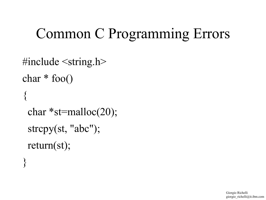```
\#include \leqstring.h>char * foo()
\{ \}char *st=malloc(20);
  strcpy(st, "abc"); 
  return(st);
```
}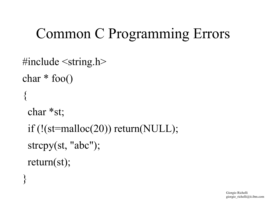```
\#include \leqstring.h>char * foo()
{<br>}
  char *st;
  if (!(st=malloc(20)) return(NULL); 
  strcpy(st, "abc"); 
  return(st);
```
 $\left\{ \right.$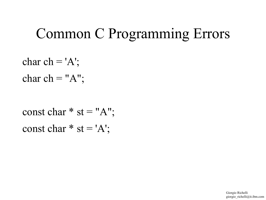char ch =  $'A$ ; char ch = " $A$ ";

const char  $*$  st = "A"; const char  $*$  st = 'A';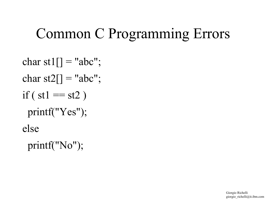```
char st1[] = "abc";
char st2[] = "abc";
if ( st1 == st2)
  printf("Yes");
else
  printf("No");
```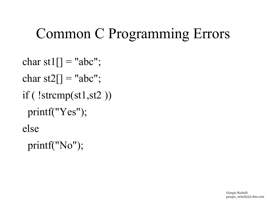```
char st1[] = "abc";
char st2[] = "abc";
if ( !strcmp(st1,st2 ))
  printf("Yes");
else
  printf("No");
```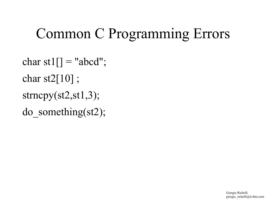char st1 $[]$  = "abcd"; char st2 $[10]$ ; strncpy(st2,st1,3); do\_something(st2);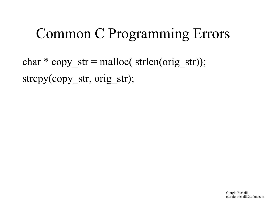char  $*$  copy str = malloc( strlen(orig str)); strcpy(copy\_str, orig\_str);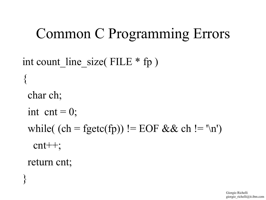```
int count line size( FILE * fp )
\left\{ \right. char ch;
 int cnt = 0;
 while( (ch = fgetc(fp)) != EOF && ch != '\n')
    cnt++;
  return cnt;
\left\{ \right.
```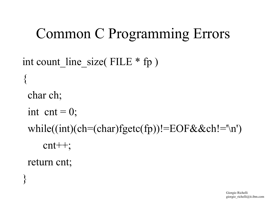```
int count line size( FILE * fp )
\left\{ \right. char ch;
 int cnt = 0;
 while((int)(ch=(char)fgetc(fp))!=EOF&&ch!='\n')
       cnt++;
  return cnt;
\left\{ \right.
```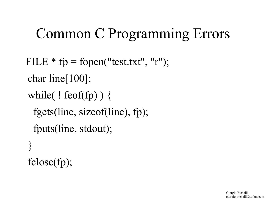```
FILE * fp = fopen("test.txt", "r");
 char line[100];
while( ! feof(fp) ) \{ fgets(line, sizeof(line), fp);
   fputs(line, stdout);
 \left\{ \right\} fclose(fp);
```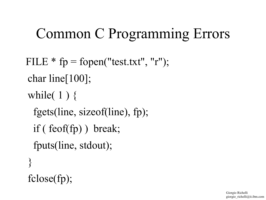```
FILE * fp = fopen("test.txt", "r");
 char line[100];
while(1) {
  fgets(line, sizeof(line), fp);
  if ( feof(fp) ) break;
  fputs(line, stdout);
 }
 fclose(fp);
```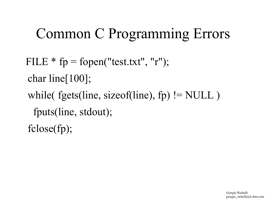```
FILE * fp = fopen("test.txt", "r");
 char line[100];
while( fgets(line, sizeof(line), fp) != NULL)
  fputs(line, stdout);
 fclose(fp);
```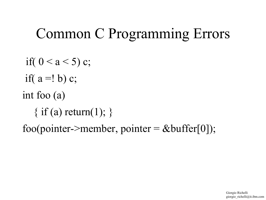if(  $0 < a < 5$ ) c; if( $a = ! b$ ) c; int foo (a)  $\{$  if (a) return(1);  $\}$ foo(pointer->member, pointer =  $&$ buffer[0]);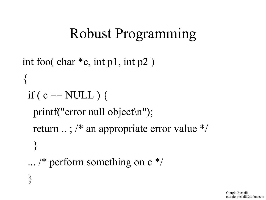#### Robust Programming

```
int foo( char *c, int p1, int p2 ) 
\left\{ \right\}if ( c = NULL ) {
   printf("error null object\n");
   return .. ; /* an appropriate error value */
    }
 \ldots /* perform something on c */
 }
```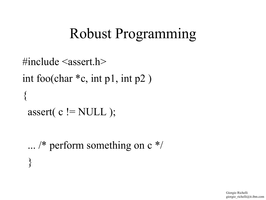#### Robust Programming

```
\#include \leqassert.h>int foo(char *c, int p1, int p2 ) 
\{ \}assert( c != NULL );
```
 ... /\* perform something on c \*/ }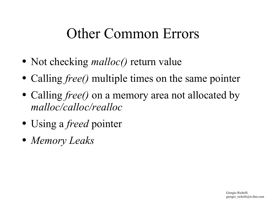#### Other Common Errors

- Not checking *malloc()* return value
- Calling *free()* multiple times on the same pointer
- Calling *free()* on a memory area not allocated by *malloc/calloc/realloc*
- Using a *freed* pointer
- *Memory Leaks*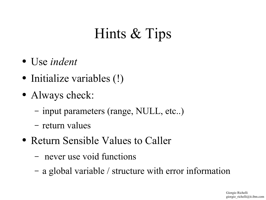# Hints & Tips

- Use *indent*
- Initialize variables (!)
- Always check:
	- input parameters (range, NULL, etc..)
	- return values
- Return Sensible Values to Caller
	- never use void functions
	- a global variable / structure with error information